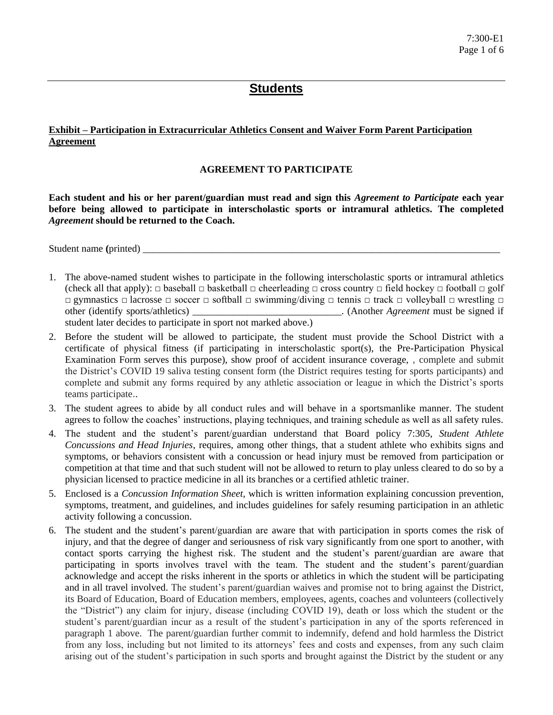## **Students**

#### **Exhibit – Participation in Extracurricular Athletics Consent and Waiver Form Parent Participation Agreement**

#### **AGREEMENT TO PARTICIPATE**

**Each student and his or her parent/guardian must read and sign this** *Agreement to Participate* **each year before being allowed to participate in interscholastic sports or intramural athletics. The completed**  *Agreement* **should be returned to the Coach.** 

Student name (printed)

- 1. The above-named student wishes to participate in the following interscholastic sports or intramural athletics (check all that apply):  $\Box$  baseball  $\Box$  basketball  $\Box$  cheerleading  $\Box$  cross country  $\Box$  field hockey  $\Box$  football  $\Box$  golf □ gymnastics □ lacrosse □ soccer □ softball □ swimming/diving □ tennis □ track □ volleyball □ wrestling □ other (identify sports/athletics) \_\_\_\_\_\_\_\_\_\_\_\_\_\_\_\_\_\_\_\_\_\_\_\_\_\_\_\_\_\_. (Another *Agreement* must be signed if student later decides to participate in sport not marked above.)
- 2. Before the student will be allowed to participate, the student must provide the School District with a certificate of physical fitness (if participating in interscholastic sport(s), the Pre-Participation Physical Examination Form serves this purpose), show proof of accident insurance coverage, , complete and submit the District's COVID 19 saliva testing consent form (the District requires testing for sports participants) and complete and submit any forms required by any athletic association or league in which the District's sports teams participate..
- 3. The student agrees to abide by all conduct rules and will behave in a sportsmanlike manner. The student agrees to follow the coaches' instructions, playing techniques, and training schedule as well as all safety rules.
- 4. The student and the student's parent/guardian understand that Board policy 7:305, *Student Athlete Concussions and Head Injuries*, requires, among other things, that a student athlete who exhibits signs and symptoms, or behaviors consistent with a concussion or head injury must be removed from participation or competition at that time and that such student will not be allowed to return to play unless cleared to do so by a physician licensed to practice medicine in all its branches or a certified athletic trainer.
- 5. Enclosed is a *Concussion Information Sheet*, which is written information explaining concussion prevention, symptoms, treatment, and guidelines, and includes guidelines for safely resuming participation in an athletic activity following a concussion.
- 6. The student and the student's parent/guardian are aware that with participation in sports comes the risk of injury, and that the degree of danger and seriousness of risk vary significantly from one sport to another, with contact sports carrying the highest risk. The student and the student's parent/guardian are aware that participating in sports involves travel with the team. The student and the student's parent/guardian acknowledge and accept the risks inherent in the sports or athletics in which the student will be participating and in all travel involved. The student's parent/guardian waives and promise not to bring against the District, its Board of Education, Board of Education members, employees, agents, coaches and volunteers (collectively the "District") any claim for injury, disease (including COVID 19), death or loss which the student or the student's parent/guardian incur as a result of the student's participation in any of the sports referenced in paragraph 1 above. The parent/guardian further commit to indemnify, defend and hold harmless the District from any loss, including but not limited to its attorneys' fees and costs and expenses, from any such claim arising out of the student's participation in such sports and brought against the District by the student or any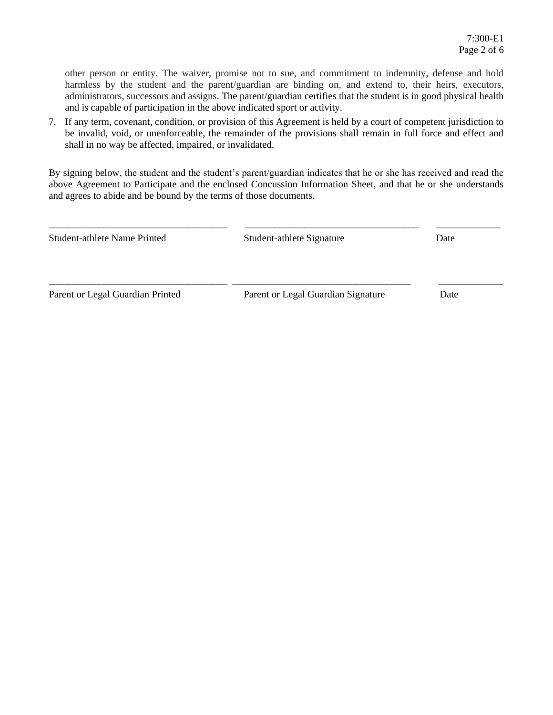other person or entity. The waiver, promise not to sue, and commitment to indemnity, defense and hold harmless by the student and the parent/guardian are binding on, and extend to, their heirs, executors, administrators, successors and assigns. The parent/guardian certifies that the student is in good physical health and is capable of participation in the above indicated sport or activity.

7. If any term, covenant, condition, or provision of this Agreement is held by a court of competent jurisdiction to be invalid, void, or unenforceable, the remainder of the provisions shall remain in full force and effect and shall in no way be affected, impaired, or invalidated.

By signing below, the student and the student's parent/guardian indicates that he or she has received and read the above Agreement to Participate and the enclosed Concussion Information Sheet, and that he or she understands and agrees to abide and be bound by the terms of those documents.

| <b>Student-athlete Name Printed</b> | Student-athlete Signature          | Date |  |
|-------------------------------------|------------------------------------|------|--|
| Parent or Legal Guardian Printed    | Parent or Legal Guardian Signature | Date |  |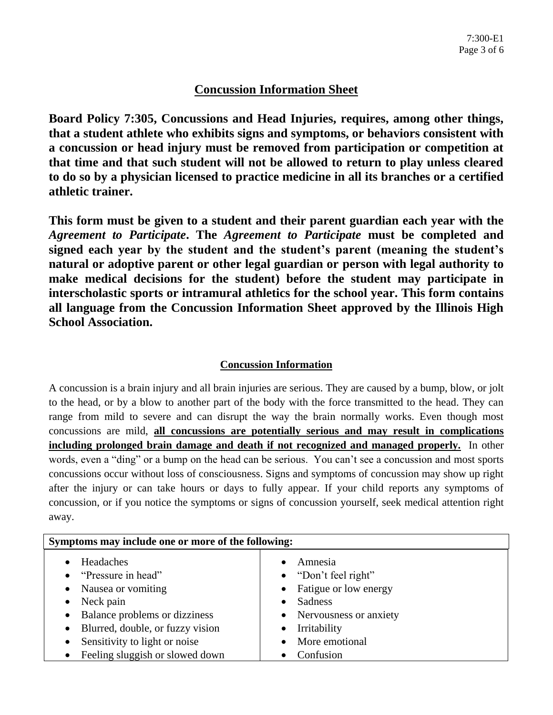# **Concussion Information Sheet**

**Board Policy 7:305, Concussions and Head Injuries, requires, among other things, that a student athlete who exhibits signs and symptoms, or behaviors consistent with a concussion or head injury must be removed from participation or competition at that time and that such student will not be allowed to return to play unless cleared to do so by a physician licensed to practice medicine in all its branches or a certified athletic trainer.**

**This form must be given to a student and their parent guardian each year with the**  *Agreement to Participate***. The** *Agreement to Participate* **must be completed and signed each year by the student and the student's parent (meaning the student's natural or adoptive parent or other legal guardian or person with legal authority to make medical decisions for the student) before the student may participate in interscholastic sports or intramural athletics for the school year. This form contains all language from the Concussion Information Sheet approved by the Illinois High School Association.**

## **Concussion Information**

A concussion is a brain injury and all brain injuries are serious. They are caused by a bump, blow, or jolt to the head, or by a blow to another part of the body with the force transmitted to the head. They can range from mild to severe and can disrupt the way the brain normally works. Even though most concussions are mild, **all concussions are potentially serious and may result in complications including prolonged brain damage and death if not recognized and managed properly.** In other words, even a "ding" or a bump on the head can be serious. You can't see a concussion and most sports concussions occur without loss of consciousness. Signs and symptoms of concussion may show up right after the injury or can take hours or days to fully appear. If your child reports any symptoms of concussion, or if you notice the symptoms or signs of concussion yourself, seek medical attention right away.

| Symptoms may include one or more of the following: |                              |  |
|----------------------------------------------------|------------------------------|--|
| Headaches<br>$\bullet$                             | Amnesia                      |  |
| "Pressure in head"<br>$\bullet$                    | $\bullet$ "Don't feel right" |  |
| Nausea or vomiting<br>$\bullet$                    | • Fatigue or low energy      |  |
| Neck pain<br>$\bullet$                             | Sadness                      |  |
| Balance problems or dizziness<br>$\bullet$         | • Nervousness or anxiety     |  |
| Blurred, double, or fuzzy vision<br>$\bullet$      | Irritability<br>$\bullet$    |  |
| Sensitivity to light or noise<br>$\bullet$         | More emotional               |  |
| Feeling sluggish or slowed down<br>$\bullet$       | Confusion                    |  |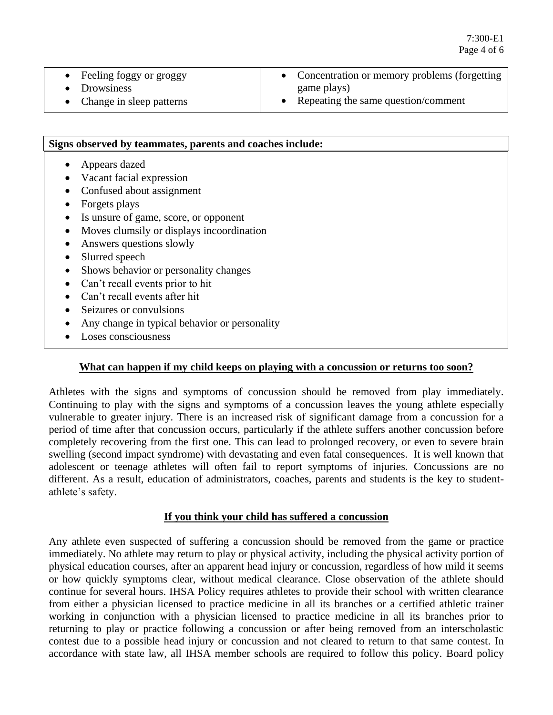- Feeling foggy or groggy
- Drowsiness
- Concentration or memory problems (forgetting game plays)
- Repeating the same question/comment

• Change in sleep patterns

## **Signs observed by teammates, parents and coaches include:**

- Appears dazed
- Vacant facial expression
- Confused about assignment
- Forgets plays
- Is unsure of game, score, or opponent
- Moves clumsily or displays incoordination
- Answers questions slowly
- Slurred speech
- Shows behavior or personality changes
- Can't recall events prior to hit
- Can't recall events after hit
- Seizures or convulsions
- Any change in typical behavior or personality
- Loses consciousness

### **What can happen if my child keeps on playing with a concussion or returns too soon?**

Athletes with the signs and symptoms of concussion should be removed from play immediately. Continuing to play with the signs and symptoms of a concussion leaves the young athlete especially vulnerable to greater injury. There is an increased risk of significant damage from a concussion for a period of time after that concussion occurs, particularly if the athlete suffers another concussion before completely recovering from the first one. This can lead to prolonged recovery, or even to severe brain swelling (second impact syndrome) with devastating and even fatal consequences. It is well known that adolescent or teenage athletes will often fail to report symptoms of injuries. Concussions are no different. As a result, education of administrators, coaches, parents and students is the key to studentathlete's safety.

### **If you think your child has suffered a concussion**

Any athlete even suspected of suffering a concussion should be removed from the game or practice immediately. No athlete may return to play or physical activity, including the physical activity portion of physical education courses, after an apparent head injury or concussion, regardless of how mild it seems or how quickly symptoms clear, without medical clearance. Close observation of the athlete should continue for several hours. IHSA Policy requires athletes to provide their school with written clearance from either a physician licensed to practice medicine in all its branches or a certified athletic trainer working in conjunction with a physician licensed to practice medicine in all its branches prior to returning to play or practice following a concussion or after being removed from an interscholastic contest due to a possible head injury or concussion and not cleared to return to that same contest. In accordance with state law, all IHSA member schools are required to follow this policy. Board policy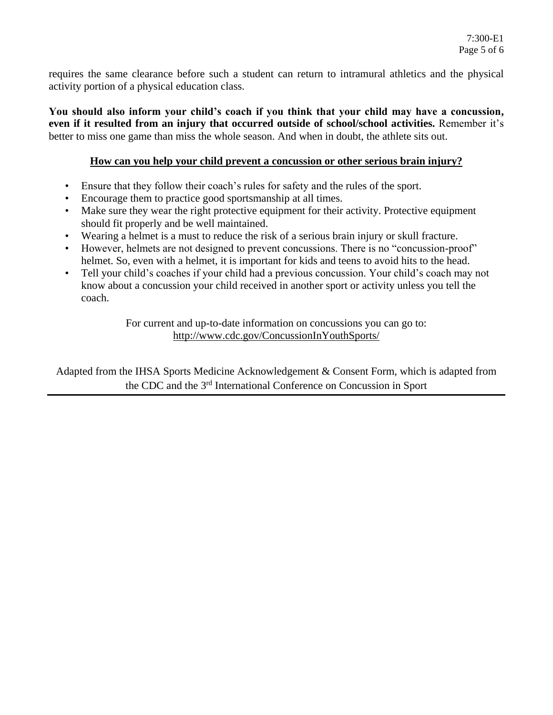requires the same clearance before such a student can return to intramural athletics and the physical activity portion of a physical education class.

**You should also inform your child's coach if you think that your child may have a concussion, even if it resulted from an injury that occurred outside of school/school activities.** Remember it's better to miss one game than miss the whole season. And when in doubt, the athlete sits out.

#### **How can you help your child prevent a concussion or other serious brain injury?**

- Ensure that they follow their coach's rules for safety and the rules of the sport.
- Encourage them to practice good sportsmanship at all times.
- Make sure they wear the right protective equipment for their activity. Protective equipment should fit properly and be well maintained.
- Wearing a helmet is a must to reduce the risk of a serious brain injury or skull fracture.
- However, helmets are not designed to prevent concussions. There is no "concussion-proof" helmet. So, even with a helmet, it is important for kids and teens to avoid hits to the head.
- Tell your child's coaches if your child had a previous concussion. Your child's coach may not know about a concussion your child received in another sport or activity unless you tell the coach.

For current and up-to-date information on concussions you can go to: <http://www.cdc.gov/ConcussionInYouthSports/>

Adapted from the IHSA Sports Medicine Acknowledgement & Consent Form, which is adapted from the CDC and the 3<sup>rd</sup> International Conference on Concussion in Sport